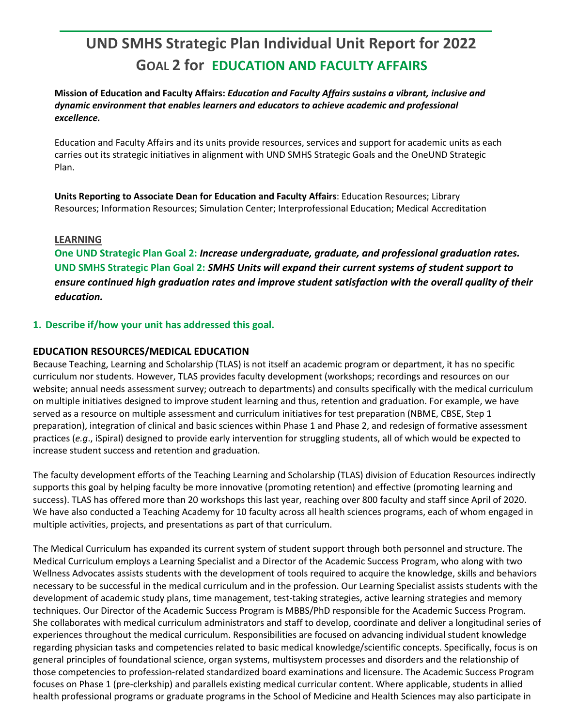# **UND SMHS Strategic Plan Individual Unit Report for 2022 GOAL 2 for EDUCATION AND FACULTY AFFAIRS**

**Mission of Education and Faculty Affairs:** *Education and Faculty Affairs sustains a vibrant, inclusive and dynamic environment that enables learners and educators to achieve academic and professional excellence.* 

Education and Faculty Affairs and its units provide resources, services and support for academic units as each carries out its strategic initiatives in alignment with UND SMHS Strategic Goals and the OneUND Strategic Plan.

**Units Reporting to Associate Dean for Education and Faculty Affairs**: Education Resources; Library Resources; Information Resources; Simulation Center; Interprofessional Education; Medical Accreditation

#### **LEARNING**

**One UND Strategic Plan Goal 2:** *Increase undergraduate, graduate, and professional graduation rates.* **UND SMHS Strategic Plan Goal 2:** *SMHS Units will expand their current systems of student support to ensure continued high graduation rates and improve student satisfaction with the overall quality of their education.*

## **1. Describe if/how your unit has addressed this goal.**

#### **EDUCATION RESOURCES/MEDICAL EDUCATION**

Because Teaching, Learning and Scholarship (TLAS) is not itself an academic program or department, it has no specific curriculum nor students. However, TLAS provides faculty development (workshops; recordings and resources on our website; annual needs assessment survey; outreach to departments) and consults specifically with the medical curriculum on multiple initiatives designed to improve student learning and thus, retention and graduation. For example, we have served as a resource on multiple assessment and curriculum initiatives for test preparation (NBME, CBSE, Step 1 preparation), integration of clinical and basic sciences within Phase 1 and Phase 2, and redesign of formative assessment practices (*e.g*., iSpiral) designed to provide early intervention for struggling students, all of which would be expected to increase student success and retention and graduation.

The faculty development efforts of the Teaching Learning and Scholarship (TLAS) division of Education Resources indirectly supports this goal by helping faculty be more innovative (promoting retention) and effective (promoting learning and success). TLAS has offered more than 20 workshops this last year, reaching over 800 faculty and staff since April of 2020. We have also conducted a Teaching Academy for 10 faculty across all health sciences programs, each of whom engaged in multiple activities, projects, and presentations as part of that curriculum.

The Medical Curriculum has expanded its current system of student support through both personnel and structure. The Medical Curriculum employs a Learning Specialist and a Director of the Academic Success Program, who along with two Wellness Advocates assists students with the development of tools required to acquire the knowledge, skills and behaviors necessary to be successful in the medical curriculum and in the profession. Our Learning Specialist assists students with the development of academic study plans, time management, test-taking strategies, active learning strategies and memory techniques. Our Director of the Academic Success Program is MBBS/PhD responsible for the Academic Success Program. She collaborates with medical curriculum administrators and staff to develop, coordinate and deliver a longitudinal series of experiences throughout the medical curriculum. Responsibilities are focused on advancing individual student knowledge regarding physician tasks and competencies related to basic medical knowledge/scientific concepts. Specifically, focus is on general principles of foundational science, organ systems, multisystem processes and disorders and the relationship of those competencies to profession-related standardized board examinations and licensure. The Academic Success Program focuses on Phase 1 (pre-clerkship) and parallels existing medical curricular content. Where applicable, students in allied health professional programs or graduate programs in the School of Medicine and Health Sciences may also participate in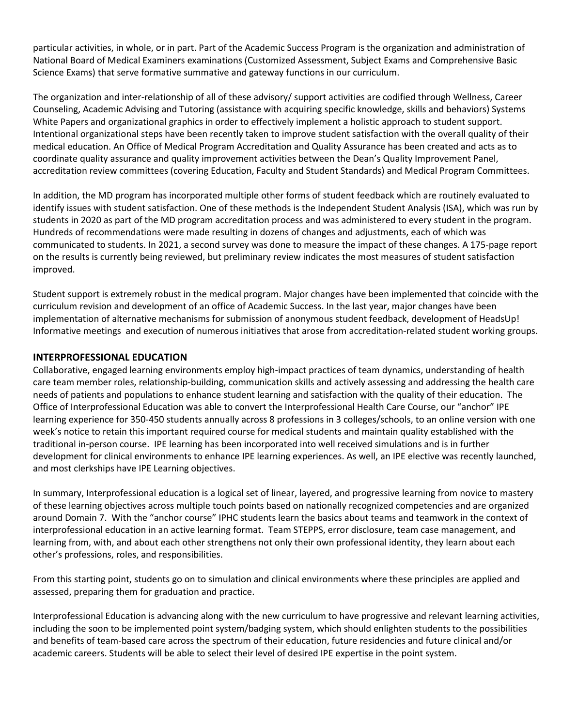particular activities, in whole, or in part. Part of the Academic Success Program is the organization and administration of National Board of Medical Examiners examinations (Customized Assessment, Subject Exams and Comprehensive Basic Science Exams) that serve formative summative and gateway functions in our curriculum.

The organization and inter-relationship of all of these advisory/ support activities are codified through Wellness, Career Counseling, Academic Advising and Tutoring (assistance with acquiring specific knowledge, skills and behaviors) Systems White Papers and organizational graphics in order to effectively implement a holistic approach to student support. Intentional organizational steps have been recently taken to improve student satisfaction with the overall quality of their medical education. An Office of Medical Program Accreditation and Quality Assurance has been created and acts as to coordinate quality assurance and quality improvement activities between the Dean's Quality Improvement Panel, accreditation review committees (covering Education, Faculty and Student Standards) and Medical Program Committees.

In addition, the MD program has incorporated multiple other forms of student feedback which are routinely evaluated to identify issues with student satisfaction. One of these methods is the Independent Student Analysis (ISA), which was run by students in 2020 as part of the MD program accreditation process and was administered to every student in the program. Hundreds of recommendations were made resulting in dozens of changes and adjustments, each of which was communicated to students. In 2021, a second survey was done to measure the impact of these changes. A 175-page report on the results is currently being reviewed, but preliminary review indicates the most measures of student satisfaction improved.

Student support is extremely robust in the medical program. Major changes have been implemented that coincide with the curriculum revision and development of an office of Academic Success. In the last year, major changes have been implementation of alternative mechanisms for submission of anonymous student feedback, development of HeadsUp! Informative meetings and execution of numerous initiatives that arose from accreditation-related student working groups.

#### **INTERPROFESSIONAL EDUCATION**

Collaborative, engaged learning environments employ high-impact practices of team dynamics, understanding of health care team member roles, relationship-building, communication skills and actively assessing and addressing the health care needs of patients and populations to enhance student learning and satisfaction with the quality of their education. The Office of Interprofessional Education was able to convert the Interprofessional Health Care Course, our "anchor" IPE learning experience for 350-450 students annually across 8 professions in 3 colleges/schools, to an online version with one week's notice to retain this important required course for medical students and maintain quality established with the traditional in-person course. IPE learning has been incorporated into well received simulations and is in further development for clinical environments to enhance IPE learning experiences. As well, an IPE elective was recently launched, and most clerkships have IPE Learning objectives.

In summary, Interprofessional education is a logical set of linear, layered, and progressive learning from novice to mastery of these learning objectives across multiple touch points based on nationally recognized competencies and are organized around Domain 7. With the "anchor course" IPHC students learn the basics about teams and teamwork in the context of interprofessional education in an active learning format. Team STEPPS, error disclosure, team case management, and learning from, with, and about each other strengthens not only their own professional identity, they learn about each other's professions, roles, and responsibilities.

From this starting point, students go on to simulation and clinical environments where these principles are applied and assessed, preparing them for graduation and practice.

Interprofessional Education is advancing along with the new curriculum to have progressive and relevant learning activities, including the soon to be implemented point system/badging system, which should enlighten students to the possibilities and benefits of team-based care across the spectrum of their education, future residencies and future clinical and/or academic careers. Students will be able to select their level of desired IPE expertise in the point system.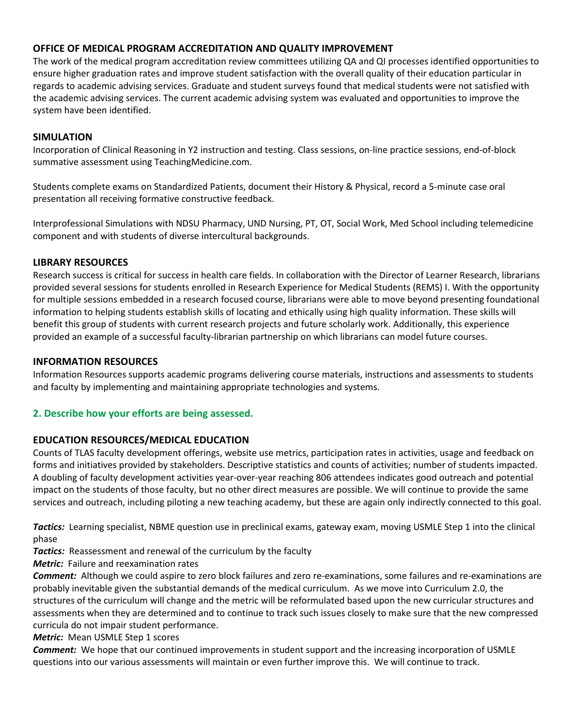## **OFFICE OF MEDICAL PROGRAM ACCREDITATION AND QUALITY IMPROVEMENT**

The work of the medical program accreditation review committees utilizing QA and QI processes identified opportunities to ensure higher graduation rates and improve student satisfaction with the overall quality of their education particular in regards to academic advising services. Graduate and student surveys found that medical students were not satisfied with the academic advising services. The current academic advising system was evaluated and opportunities to improve the system have been identified.

## **SIMULATION**

Incorporation of Clinical Reasoning in Y2 instruction and testing. Class sessions, on-line practice sessions, end-of-block summative assessment using TeachingMedicine.com.

Students complete exams on Standardized Patients, document their History & Physical, record a 5-minute case oral presentation all receiving formative constructive feedback.

Interprofessional Simulations with NDSU Pharmacy, UND Nursing, PT, OT, Social Work, Med School including telemedicine component and with students of diverse intercultural backgrounds.

## **LIBRARY RESOURCES**

Research success is critical for success in health care fields. In collaboration with the Director of Learner Research, librarians provided several sessions for students enrolled in Research Experience for Medical Students (REMS) I. With the opportunity for multiple sessions embedded in a research focused course, librarians were able to move beyond presenting foundational information to helping students establish skills of locating and ethically using high quality information. These skills will benefit this group of students with current research projects and future scholarly work. Additionally, this experience provided an example of a successful faculty-librarian partnership on which librarians can model future courses.

#### **INFORMATION RESOURCES**

Information Resources supports academic programs delivering course materials, instructions and assessments to students and faculty by implementing and maintaining appropriate technologies and systems.

## **2. Describe how your efforts are being assessed.**

## **EDUCATION RESOURCES/MEDICAL EDUCATION**

Counts of TLAS faculty development offerings, website use metrics, participation rates in activities, usage and feedback on forms and initiatives provided by stakeholders. Descriptive statistics and counts of activities; number of students impacted. A doubling of faculty development activities year-over-year reaching 806 attendees indicates good outreach and potential impact on the students of those faculty, but no other direct measures are possible. We will continue to provide the same services and outreach, including piloting a new teaching academy, but these are again only indirectly connected to this goal.

*Tactics:* Learning specialist, NBME question use in preclinical exams, gateway exam, moving USMLE Step 1 into the clinical phase

*Tactics:* Reassessment and renewal of the curriculum by the faculty

*Metric:* Failure and reexamination rates

*Comment:* Although we could aspire to zero block failures and zero re-examinations, some failures and re-examinations are probably inevitable given the substantial demands of the medical curriculum. As we move into Curriculum 2.0, the structures of the curriculum will change and the metric will be reformulated based upon the new curricular structures and assessments when they are determined and to continue to track such issues closely to make sure that the new compressed curricula do not impair student performance.

**Metric:** Mean USMLE Step 1 scores

*Comment:* We hope that our continued improvements in student support and the increasing incorporation of USMLE questions into our various assessments will maintain or even further improve this. We will continue to track.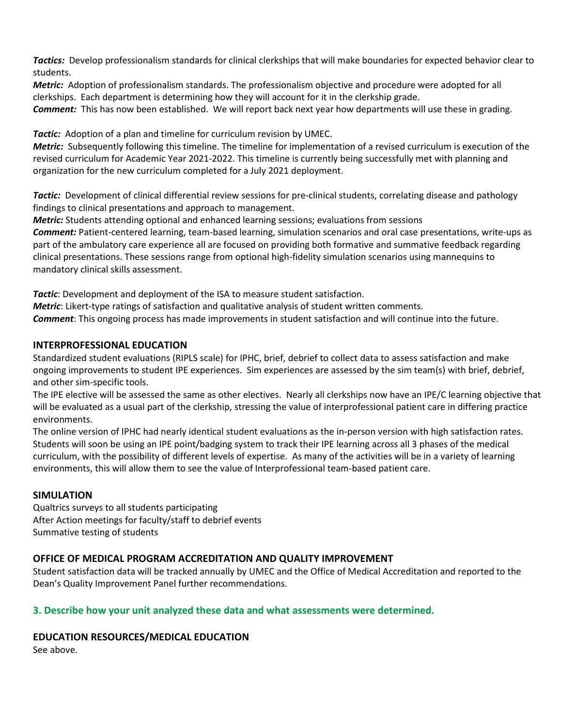*Tactics:* Develop professionalism standards for clinical clerkships that will make boundaries for expected behavior clear to students.

*Metric:* Adoption of professionalism standards. The professionalism objective and procedure were adopted for all clerkships. Each department is determining how they will account for it in the clerkship grade.

*Comment:* This has now been established. We will report back next year how departments will use these in grading.

**Tactic:** Adoption of a plan and timeline for curriculum revision by UMEC.

*Metric:* Subsequently following this timeline. The timeline for implementation of a revised curriculum is execution of the revised curriculum for Academic Year 2021-2022. This timeline is currently being successfully met with planning and organization for the new curriculum completed for a July 2021 deployment.

*Tactic:* Development of clinical differential review sessions for pre-clinical students, correlating disease and pathology findings to clinical presentations and approach to management.

*Metric:* Students attending optional and enhanced learning sessions; evaluations from sessions

*Comment:* Patient-centered learning, team-based learning, simulation scenarios and oral case presentations, write-ups as part of the ambulatory care experience all are focused on providing both formative and summative feedback regarding clinical presentations. These sessions range from optional high-fidelity simulation scenarios using mannequins to mandatory clinical skills assessment.

*Tactic*: Development and deployment of the ISA to measure student satisfaction. *Metric*: Likert-type ratings of satisfaction and qualitative analysis of student written comments. *Comment*: This ongoing process has made improvements in student satisfaction and will continue into the future.

## **INTERPROFESSIONAL EDUCATION**

Standardized student evaluations (RIPLS scale) for IPHC, brief, debrief to collect data to assess satisfaction and make ongoing improvements to student IPE experiences. Sim experiences are assessed by the sim team(s) with brief, debrief, and other sim-specific tools.

The IPE elective will be assessed the same as other electives. Nearly all clerkships now have an IPE/C learning objective that will be evaluated as a usual part of the clerkship, stressing the value of interprofessional patient care in differing practice environments.

The online version of IPHC had nearly identical student evaluations as the in-person version with high satisfaction rates. Students will soon be using an IPE point/badging system to track their IPE learning across all 3 phases of the medical curriculum, with the possibility of different levels of expertise. As many of the activities will be in a variety of learning environments, this will allow them to see the value of Interprofessional team-based patient care.

## **SIMULATION**

Qualtrics surveys to all students participating After Action meetings for faculty/staff to debrief events Summative testing of students

## **OFFICE OF MEDICAL PROGRAM ACCREDITATION AND QUALITY IMPROVEMENT**

Student satisfaction data will be tracked annually by UMEC and the Office of Medical Accreditation and reported to the Dean's Quality Improvement Panel further recommendations.

## **3. Describe how your unit analyzed these data and what assessments were determined.**

## **EDUCATION RESOURCES/MEDICAL EDUCATION**

See above.